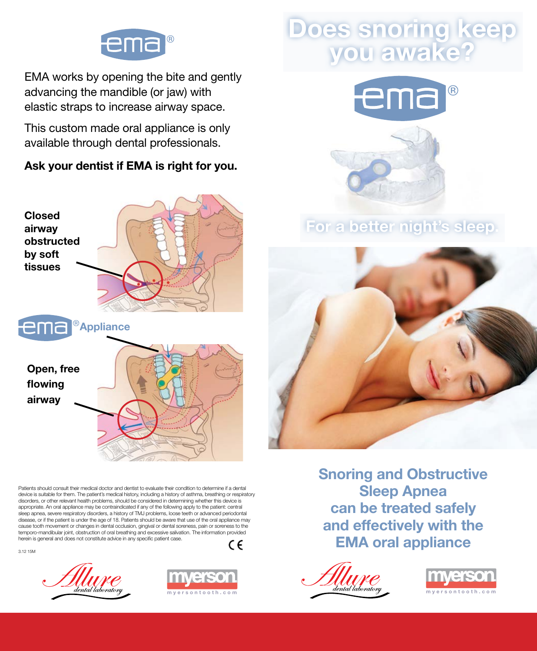

EMA works by opening the bite and gently EMA works by opening the bite and gently EMA works by opening the bite and gently advancing the mandible (or jaw) with advancing the mandible (or jaw) with elastic straps to increase airway space. elastic straps to increase airway space. elastic straps to increase airway space.

This custom made oral appliance is only This custom made oral appliance is only available through dental professionals. available through dental professionals. **This custom made of the or** 

Ask your dentist if EMA is right for you. Ask your dentist if EMA is right for you.  $\overline{A}$ 



Patients should consult their medical doctor and dentist to evaluate their condition to determine if a dental Pauents should consult their medical doctor and dentist to evaluate their condition to determine it a dental<br>device is suitable for them. The patient's medical history, including a history of asthma, breathing or respirato device is suitable for them. The patient's medical history, including a history of asthma, breathing or respiratory<br>disorders, or other relevant health problems, should be considered in determining whether this device is appropriate. An oral appliance may be contraindicated if any of the following apply to the patient: central experienced or a series respiratory disorders, a history of TMJ problems, loose teeth or advanced periodontal<br>sleep apnea, severe respiratory disorders, a history of TMJ problems, loose teeth or advanced periodontal<br>diseas disease, or if the patient is under the age of 18. Patients should be aware that use of the oral appliance may cause tooth movement or changes in dental occlusion, gingival or dental soreness, pain or soreness to the cause tooth movement or changes in dental occlusion, gingival or dental soreness, pain or soreness to the<br>temporo-mandibular joint, obstruction of oral breathing and excessive salivation. The information provided<br>herein is herein is general and does not constitute advice in any specific patient case. discriment problems, or other relevant health problems, should be considered in determining where the consider<br>This device is device in determining when the considered in determining when the considered in the considered appropriate. An oral application application application application application application application appli<br>The contracted in application application application application application application application applicati sie application of TMJ problems, lot of TMJ problems, lot of TMJ problems, lot TMJ problems, loose teeth or ad<br>The TMJ problems, loose teeth or advanced periodontal periodontal periodontal periodontal periodontal periodon displace is under the age of 18. Patients showed age of the age of the age of the oral application of the oral application of the oral application of the oral application of the oral application of the oral application may cause tooth movement or changes in dental occlusion, gingival or dental soreness, pain or soreness to the  $t$ usease, or  $n$ 

3.12 15M





## Does snoring keep you awake? Does snoring keep you awake?



For a better night's sleep. For a better night's sleep.



Snoring and Obstructive Sleep Apnea<br>Letter safely can be treated safely and effectively with the EMA oral appliance Snoring and Obstructive **DSUUCUVE** 

myersontooth.com a*ental taboratory* myersontooth.com